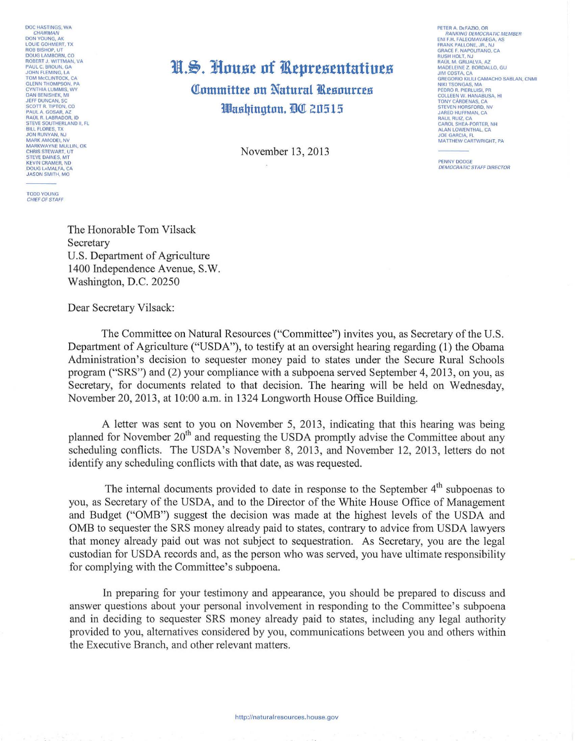DOC HASTINGS, WA<br>CHAIRMAN<br>DON YOUNG, AK LOUIE GOHMERT, TX<br>ROB BISHOP, UT<br>DOUG LAMBORN, CO **BOBERT J. WITTMAN, VA<br>PAUL C. BROUN, GA<br>JOHN FLEMING, LA TOM MCCLINTOCK, CA** GLENN THOMPSON, PA<br>CYNTHIA LUMMIS, WY<br>DAN BENISHEK, MI JEFF DUNCAN, SC<br>SCOTT R. TIPTON, CO<br>PAUL A. GOSAR, AZ<br>RAÚL R. LABRADOR, ID STEVE SOUTHERLAND II, FL<br>BILL FLORES, TX<br>JON RUNYAN, NJ MARK AMODEI, NV<br>MARKWAYNE MULLIN, OK<br>CHRIS STEWART, UT **STEVE DAINES, MT** STEVE DAINES, MT<br>KEVIN CRAMER, ND<br>DOUG LAMALFA, CA<br>JASON SMITH, MO

## H.S. House of Representatives Committee on Natural Resources Washington, DC 20515

November 13, 2013

**TODD YOUNG** CHIEF OF STAFF

PETER A. DEFAZIO, OR **RANKING DEMOCRATIC MEMBER ENITER ENCOUNTER**<br>FRANK PALLONE, JR., NJ<br>GRACE F. NAPOLITANO, CA **RUSH HOLT. NJ** RAÚL M. GRIJALVA, AZ<br>MADELEINE Z. BORDALLO, GU **JIM COSTA, CA** JIM COSTA, CA<br>GREGORIO KILILI CAMACHO SABLAN, CNMI<br>NIKI TSONGAS, MA<br>PEDRO R. PIERLUISI, PR<br>COLLEEN W. HANABUSA, HI<br>TONY CÁRDENAS, CA<br>STEVEN HORSFORD, NY<br>STEVEN HORSFORD, NY<br>LADEN HITEMAN CA **JARED HUFFMAN, CA** RAUL RUIZ, CA CAROL SHEA-PORTER, NH ALAN LOWENTHAL, CA **JOE GARCIA, FL** MATTHEW CARTWRIGHT, PA

PENNY DODGE **DEMOCRATIC STAFF DIRECTOR** 

The Honorable Tom Vilsack Secretary U.S. Department of Agriculture 1400 Independence Avenue, S.W. Washington, D.C. 20250

Dear Secretary Vilsack:

The Committee on Natural Resources ("Committee") invites you, as Secretary of the U.S. Department of Agriculture ("USDA"), to testify at an oversight hearing regarding (1) the Obama Administration's decision to sequester money paid to states under the Secure Rural Schools program ("SRS") and (2) your compliance with a subpoena served September 4, 2013, on you, as Secretary, for documents related to that decision. The hearing will be held on Wednesday, November 20, 2013, at 10:00 a.m. in 1324 Longworth House Office Building.

A letter was sent to you on November 5, 2013, indicating that this hearing was being planned for November  $20<sup>th</sup>$  and requesting the USDA promptly advise the Committee about any scheduling conflicts. The USDA's November 8, 2013, and November 12, 2013, letters do not identify any scheduling conflicts with that date, as was requested.

The internal documents provided to date in response to the September 4<sup>th</sup> subpoenas to vou, as Secretary of the USDA, and to the Director of the White House Office of Management and Budget ("OMB") suggest the decision was made at the highest levels of the USDA and OMB to sequester the SRS money already paid to states, contrary to advice from USDA lawyers that money already paid out was not subject to sequestration. As Secretary, you are the legal custodian for USDA records and, as the person who was served, you have ultimate responsibility for complying with the Committee's subpoena.

In preparing for your testimony and appearance, you should be prepared to discuss and answer questions about your personal involvement in responding to the Committee's subpoena and in deciding to sequester SRS money already paid to states, including any legal authority provided to you, alternatives considered by you, communications between you and others within the Executive Branch, and other relevant matters.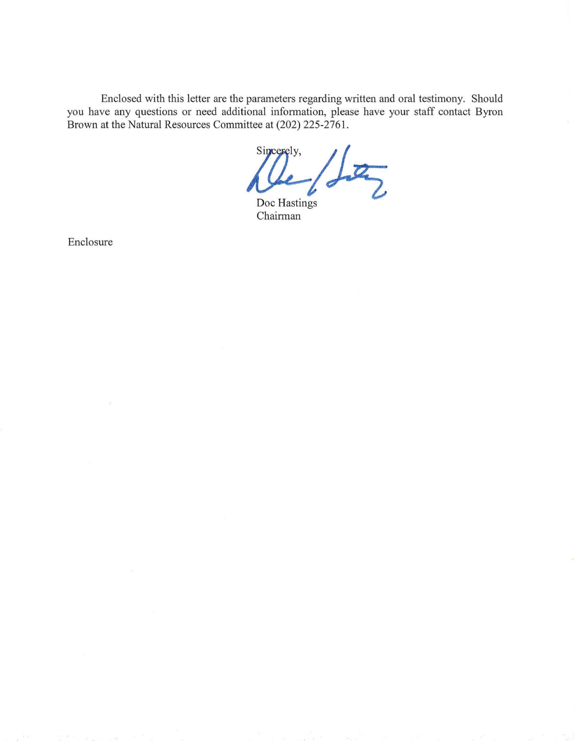Enclosed with this letter are the parameters regarding written and oral testimony. Should you have any questions or need additional infonnation, please have your staff contact Byron Brown at the Natural Resources Committee at (202) 225-2761.

Sincerely,  $\overline{Z}$ 

Doc Hastings Chairman

Enclosure